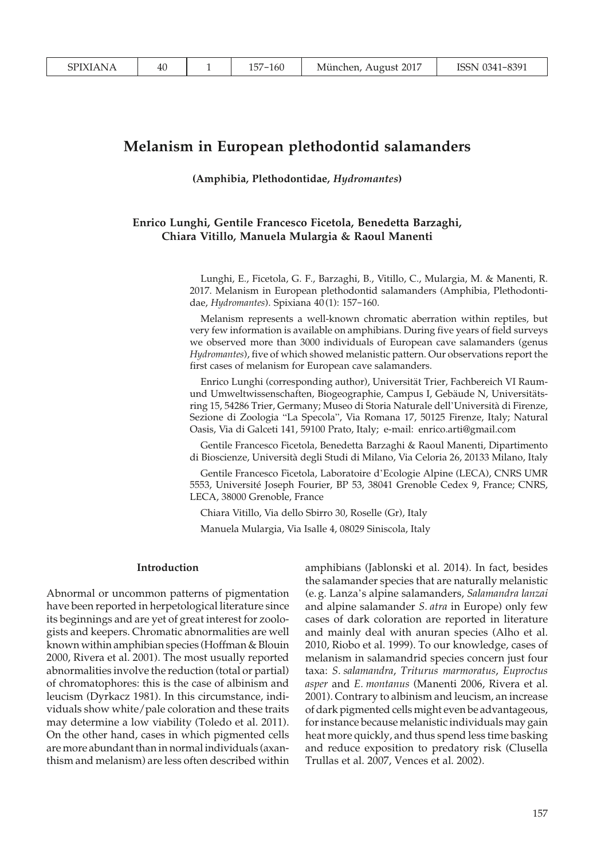# **Melanism in European plethodontid salamanders**

**(Amphibia, Plethodontidae,** *Hydromantes***)**

## **Enrico Lunghi, Gentile Francesco Ficetola, Benedetta Barzaghi, Chiara Vitillo, Manuela Mulargia & Raoul Manenti**

Lunghi, E., Ficetola, G. F., Barzaghi, B., Vitillo, C., Mulargia, M. & Manenti, R. 2017. Melanism in European plethodontid salamanders (Amphibia, Plethodontidae, *Hydromantes*). Spixiana 40 (1): 157-160.

Melanism represents a well-known chromatic aberration within reptiles, but very few information is available on amphibians. During five years of field surveys we observed more than 3000 individuals of European cave salamanders (genus *Hydromantes*), five of which showed melanistic pattern. Our observations report the first cases of melanism for European cave salamanders.

Enrico Lunghi (corresponding author), Universität Trier, Fachbereich VI Raumund Umweltwissenschaften, Biogeographie, Campus I, Gebäude N, Universitätsring 15, 54286 Trier, Germany; Museo di Storia Naturale dell'Università di Firenze, Sezione di Zoologia "La Specola", Via Romana 17, 50125 Firenze, Italy; Natural Oasis, Via di Galceti 141, 59100 Prato, Italy; e-mail: enrico.arti@gmail.com

Gentile Francesco Ficetola, Benedetta Barzaghi & Raoul Manenti, Dipartimento di Bioscienze, Università degli Studi di Milano, Via Celoria 26, 20133 Milano, Italy

Gentile Francesco Ficetola, Laboratoire d'Ecologie Alpine (LECA), CNRS UMR 5553, Université Joseph Fourier, BP 53, 38041 Grenoble Cedex 9, France; CNRS, LECA, 38000 Grenoble, France

Chiara Vitillo, Via dello Sbirro 30, Roselle (Gr), Italy

Manuela Mulargia, Via Isalle 4, 08029 Siniscola, Italy

### **Introduction**

Abnormal or uncommon patterns of pigmentation have been reported in herpetological literature since its beginnings and are yet of great interest for zoologists and keepers. Chromatic abnormalities are well known within amphibian species (Hoffman & Blouin 2000, Rivera et al. 2001). The most usually reported abnormalities involve the reduction (total or partial) of chromatophores: this is the case of albinism and leucism (Dyrkacz 1981). In this circumstance, individuals show white/pale coloration and these traits may determine a low viability (Toledo et al. 2011). On the other hand, cases in which pigmented cells are more abundant than in normal individuals (axanthism and melanism) are less often described within amphibians (Jablonski et al. 2014). In fact, besides the salamander species that are naturally melanistic (e. g. Lanza's alpine salamanders, *Salamandra lanzai* and alpine salamander *S. atra* in Europe) only few cases of dark coloration are reported in literature and mainly deal with anuran species (Alho et al. 2010, Riobo et al. 1999). To our knowledge, cases of melanism in salamandrid species concern just four taxa: *S. salamandra*, *Triturus marmoratus*, *Euproctus asper* and *E. montanus* (Manenti 2006, Rivera et al. 2001). Contrary to albinism and leucism, an increase of dark pigmented cells might even be advantageous, for instance because melanistic individuals may gain heat more quickly, and thus spend less time basking and reduce exposition to predatory risk (Clusella Trullas et al. 2007, Vences et al. 2002).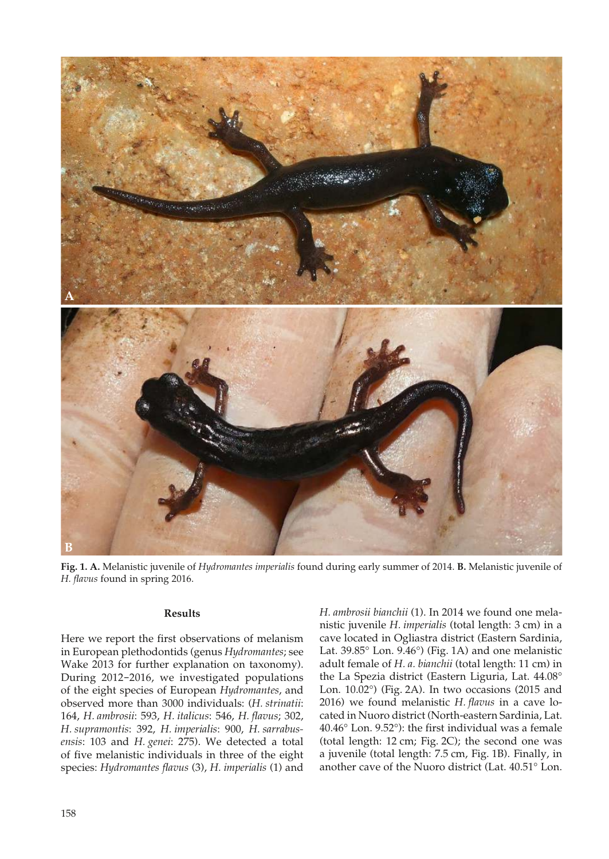

**Fig. 1. A.** Melanistic juvenile of *Hydromantes imperialis* found during early summer of 2014. **B.** Melanistic juvenile of *H. flavus* found in spring 2016.

### **Results**

Here we report the first observations of melanism in European plethodontids (genus *Hydromantes*; see Wake 2013 for further explanation on taxonomy). During 2012-2016, we investigated populations of the eight species of European *Hydromantes*, and observed more than 3000 individuals: (*H. strinatii*: 164, *H. ambrosii*: 593, *H. italicus*: 546, *H. flavus*; 302, *H. supramontis*: 392, *H. imperialis*: 900, *H. sarrabusensis*: 103 and *H. genei*: 275). We detected a total of five melanistic individuals in three of the eight species: *Hydromantes flavus* (3), *H. imperialis* (1) and

*H. ambrosii bianchii* (1). In 2014 we found one melanistic juvenile *H. imperialis* (total length: 3 cm) in a cave located in Ogliastra district (Eastern Sardinia, Lat. 39.85° Lon. 9.46°) (Fig. 1A) and one melanistic adult female of *H. a. bianchii* (total length: 11 cm) in the La Spezia district (Eastern Liguria, Lat. 44.08° Lon. 10.02°) (Fig. 2A). In two occasions (2015 and 2016) we found melanistic *H. flavus* in a cave located in Nuoro district (North-eastern Sardinia, Lat. 40.46° Lon. 9.52°): the first individual was a female (total length: 12 cm; Fig. 2C); the second one was a juvenile (total length: 7.5 cm, Fig. 1B). Finally, in another cave of the Nuoro district (Lat. 40.51° Lon.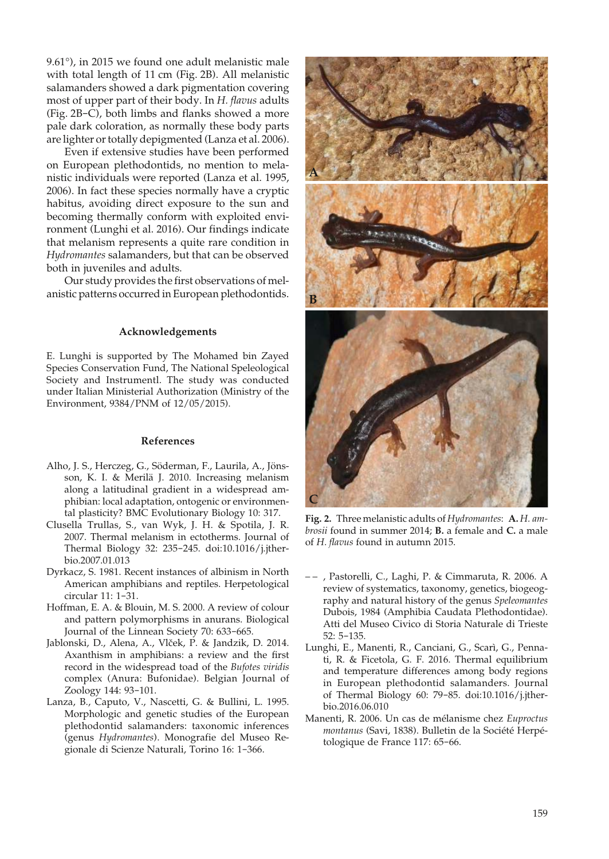9.61°), in 2015 we found one adult melanistic male with total length of 11 cm (Fig. 2B). All melanistic salamanders showed a dark pigmentation covering most of upper part of their body. In *H. flavus* adults (Fig. 2B-C), both limbs and flanks showed a more pale dark coloration, as normally these body parts are lighter or totally depigmented (Lanza et al. 2006).

Even if extensive studies have been performed on European plethodontids, no mention to melanistic individuals were reported (Lanza et al. 1995, 2006). In fact these species normally have a cryptic habitus, avoiding direct exposure to the sun and becoming thermally conform with exploited environment (Lunghi et al. 2016). Our findings indicate that melanism represents a quite rare condition in *Hydromantes* salamanders, but that can be observed both in juveniles and adults.

Our study provides the first observations of melanistic patterns occurred in European plethodontids.

### **Acknowledgements**

E. Lunghi is supported by The Mohamed bin Zayed Species Conservation Fund, The National Speleological Society and Instrumentl. The study was conducted under Italian Ministerial Authorization (Ministry of the Environment, 9384/PNM of 12/05/2015).

#### **References**

- Alho, J. S., Herczeg, G., Söderman, F., Laurila, A., Jönsson, K. I. & Merilä J. 2010. Increasing melanism along a latitudinal gradient in a widespread amphibian: local adaptation, ontogenic or environmental plasticity? BMC Evolutionary Biology 10: 317.
- Clusella Trullas, S., van Wyk, J. H. & Spotila, J. R. 2007. Thermal melanism in ectotherms. Journal of Thermal Biology 32: 235-245. doi:10.1016/j.jtherbio.2007.01.013
- Dyrkacz, S. 1981. Recent instances of albinism in North American amphibians and reptiles. Herpetological circular 11: 1-31.
- Hoffman, E. A. & Blouin, M. S. 2000. A review of colour and pattern polymorphisms in anurans. Biological Journal of the Linnean Society 70: 633-665.
- Jablonski, D., Alena, A., Vlček, P. & Jandzik, D. 2014. Axanthism in amphibians: a review and the first record in the widespread toad of the *Bufotes viridis* complex (Anura: Bufonidae). Belgian Journal of Zoology 144: 93-101.
- Lanza, B., Caputo, V., Nascetti, G. & Bullini, L. 1995. Morphologic and genetic studies of the European plethodontid salamanders: taxonomic inferences (genus *Hydromantes*). Monografie del Museo Regionale di Scienze Naturali, Torino 16: 1-366.



**Fig. 2.** Three melanistic adults of *Hydromantes*: **A.** *H. ambrosii* found in summer 2014; **B.** a female and **C.** a male of *H. flavus* found in autumn 2015.

- – , Pastorelli, C., Laghi, P. & Cimmaruta, R. 2006. A review of systematics, taxonomy, genetics, biogeography and natural history of the genus *Speleomantes* Dubois, 1984 (Amphibia Caudata Plethodontidae). Atti del Museo Civico di Storia Naturale di Trieste 52: 5-135.
- Lunghi, E., Manenti, R., Canciani, G., Scarì, G., Pennati, R. & Ficetola, G. F. 2016. Thermal equilibrium and temperature differences among body regions in European plethodontid salamanders. Journal of Thermal Biology 60: 79-85. doi:10.1016/j.jtherbio.2016.06.010
- Manenti, R. 2006. Un cas de mélanisme chez *Euproctus montanus* (Savi, 1838). Bulletin de la Société Herpétologique de France 117: 65-66.